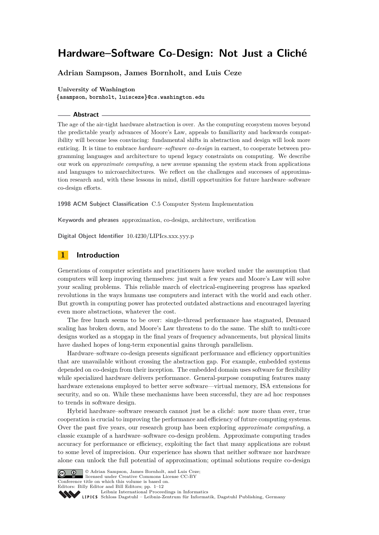# **Adrian Sampson, James Bornholt, and Luis Ceze**

#### **University of Washington**

**{asampson, bornholt, luisceze}@cs.washington.edu**

# **Abstract**

The age of the air-tight hardware abstraction is over. As the computing ecosystem moves beyond the predictable yearly advances of Moore's Law, appeals to familiarity and backwards compatibility will become less convincing: fundamental shifts in abstraction and design will look more enticing. It is time to embrace *hardware–software co-design* in earnest, to cooperate between programming languages and architecture to upend legacy constraints on computing. We describe our work on *approximate computing*, a new avenue spanning the system stack from applications and languages to microarchitectures. We reflect on the challenges and successes of approximation research and, with these lessons in mind, distill opportunities for future hardware–software co-design efforts.

**1998 ACM Subject Classification** C.5 Computer System Implementation

**Keywords and phrases** approximation, co-design, architecture, verification

**Digital Object Identifier** [10.4230/LIPIcs.xxx.yyy.p](http://dx.doi.org/10.4230/LIPIcs.xxx.yyy.p)

# **1 Introduction**

Generations of computer scientists and practitioners have worked under the assumption that computers will keep improving themselves: just wait a few years and Moore's Law will solve your scaling problems. This reliable march of electrical-engineering progress has sparked revolutions in the ways humans use computers and interact with the world and each other. But growth in computing power has protected outdated abstractions and encouraged layering even more abstractions, whatever the cost.

The free lunch seems to be over: single-thread performance has stagnated, Dennard scaling has broken down, and Moore's Law threatens to do the same. The shift to multi-core designs worked as a stopgap in the final years of frequency advancements, but physical limits have dashed hopes of long-term exponential gains through parallelism.

Hardware–software co-design presents significant performance and efficiency opportunities that are unavailable without crossing the abstraction gap. For example, embedded systems depended on co-design from their inception. The embedded domain uses software for flexibility while specialized hardware delivers performance. General-purpose computing features many hardware extensions employed to better serve software—virtual memory, ISA extensions for security, and so on. While these mechanisms have been successful, they are ad hoc responses to trends in software design.

Hybrid hardware–software research cannot just be a cliché: now more than ever, true cooperation is crucial to improving the performance and efficiency of future computing systems. Over the past five years, our research group has been exploring *approximate computing*, a classic example of a hardware–software co-design problem. Approximate computing trades accuracy for performance or efficiency, exploiting the fact that many applications are robust to some level of imprecision. Our experience has shown that neither software nor hardware alone can unlock the full potential of approximation; optimal solutions require co-design



© Adrian Sampson, James Bornholt, and Luis Ceze; licensed under Creative Commons License CC-BY Conference title on which this volume is based on. Editors: Billy Editor and Bill Editors; pp. 1[–12](#page-11-0)

[Leibniz International Proceedings in Informatics](http://www.dagstuhl.de/lipics/)

Leibniz international Floretungs in missimosische Publishing, Germany<br>LIPICS [Schloss Dagstuhl – Leibniz-Zentrum für Informatik, Dagstuhl Publishing, Germany](http://www.dagstuhl.de)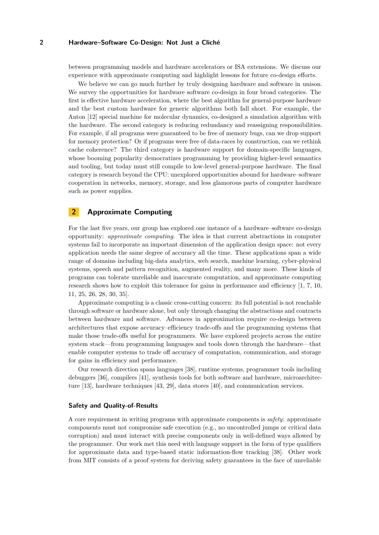between programming models and hardware accelerators or ISA extensions. We discuss our experience with approximate computing and highlight lessons for future co-design efforts.

We believe we can go much further by truly designing hardware and software in unison. We survey the opportunities for hardware software co-design in four broad categories. The first is effective hardware acceleration, where the best algorithm for general-purpose hardware and the best custom hardware for generic algorithms both fall short. For example, the Anton [\[12\]](#page-9-0) special machine for molecular dynamics, co-designed a simulation algorithm with the hardware. The second category is reducing redundancy and reassigning responsibilities. For example, if all programs were guaranteed to be free of memory bugs, can we drop support for memory protection? Or if programs were free of data-races by construction, can we rethink cache coherence? The third category is hardware support for domain-specific languages, whose booming popularity democratizes programming by providing higher-level semantics and tooling, but today must still compile to low-level general-purpose hardware. The final category is research beyond the CPU: unexplored opportunities abound for hardware–software cooperation in networks, memory, storage, and less glamorous parts of computer hardware such as power supplies.

# **2 Approximate Computing**

For the last five years, our group has explored one instance of a hardware–software co-design opportunity: *approximate computing*. The idea is that current abstractions in computer systems fail to incorporate an important dimension of the application design space: not every application needs the same degree of accuracy all the time. These applications span a wide range of domains including big-data analytics, web search, machine learning, cyber-physical systems, speech and pattern recognition, augmented reality, and many more. These kinds of programs can tolerate unreliable and inaccurate computation, and approximate computing research shows how to exploit this tolerance for gains in performance and efficiency [\[1,](#page-8-0) [7,](#page-9-1) [10,](#page-9-2) [11,](#page-9-3) [25,](#page-10-0) [26,](#page-10-1) [28,](#page-10-2) [30,](#page-10-3) [35\]](#page-10-4).

Approximate computing is a classic cross-cutting concern: its full potential is not reachable through software or hardware alone, but only through changing the abstractions and contracts between hardware and software. Advances in approximation require co-design between architectures that expose accuracy–efficiency trade-offs and the programming systems that make those trade-offs useful for programmers. We have explored projects across the entire system stack—from programming languages and tools down through the hardware—that enable computer systems to trade off accuracy of computation, communication, and storage for gains in efficiency and performance.

Our research direction spans languages [\[38\]](#page-10-5), runtime systems, programmer tools including debuggers [\[36\]](#page-10-6), compilers [\[41\]](#page-11-1), synthesis tools for both software and hardware, microarchitecture [\[13\]](#page-9-4), hardware techniques [\[43,](#page-11-2) [29\]](#page-10-7), data stores [\[40\]](#page-10-8), and communication services.

# **Safety and Quality-of-Results**

A core requirement in writing programs with approximate components is *safety*: approximate components must not compromise safe execution (e.g., no uncontrolled jumps or critical data corruption) and must interact with precise components only in well-defined ways allowed by the programmer. Our work met this need with language support in the form of type qualifiers for approximate data and type-based static information-flow tracking [\[38\]](#page-10-5). Other work from MIT consists of a proof system for deriving safety guarantees in the face of unreliable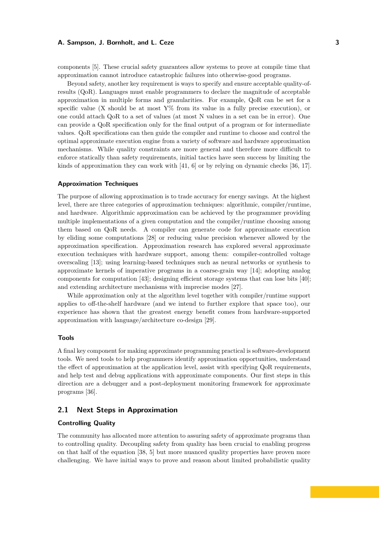components [\[5\]](#page-9-5). These crucial safety guarantees allow systems to prove at compile time that approximation cannot introduce catastrophic failures into otherwise-good programs.

Beyond safety, another key requirement is ways to specify and ensure acceptable quality-ofresults (QoR). Languages must enable programmers to declare the magnitude of acceptable approximation in multiple forms and granularities. For example, QoR can be set for a specific value (X should be at most  $Y\%$  from its value in a fully precise execution), or one could attach QoR to a set of values (at most N values in a set can be in error). One can provide a QoR specification only for the final output of a program or for intermediate values. QoR specifications can then guide the compiler and runtime to choose and control the optimal approximate execution engine from a variety of software and hardware approximation mechanisms. While quality constraints are more general and therefore more difficult to enforce statically than safety requirements, initial tactics have seen success by limiting the kinds of approximation they can work with  $[41, 6]$  $[41, 6]$  $[41, 6]$  or by relying on dynamic checks [\[36,](#page-10-6) [17\]](#page-9-7).

# **Approximation Techniques**

The purpose of allowing approximation is to trade accuracy for energy savings. At the highest level, there are three categories of approximation techniques: algorithmic, compiler/runtime, and hardware. Algorithmic approximation can be achieved by the programmer providing multiple implementations of a given computation and the compiler/runtime choosing among them based on QoR needs. A compiler can generate code for approximate execution by eliding some computations [\[28\]](#page-10-2) or reducing value precision whenever allowed by the approximation specification. Approximation research has explored several approximate execution techniques with hardware support, among them: compiler-controlled voltage overscaling [\[13\]](#page-9-4); using learning-based techniques such as neural networks or synthesis to approximate kernels of imperative programs in a coarse-grain way [\[14\]](#page-9-8); adopting analog components for computation [\[43\]](#page-11-2); designing efficient storage systems that can lose bits [\[40\]](#page-10-8); and extending architecture mechanisms with imprecise modes [\[27\]](#page-10-9).

While approximation only at the algorithm level together with compiler/runtime support applies to off-the-shelf hardware (and we intend to further explore that space too), our experience has shown that the greatest energy benefit comes from hardware-supported approximation with language/architecture co-design [\[29\]](#page-10-7).

### **Tools**

A final key component for making approximate programming practical is software-development tools. We need tools to help programmers identify approximation opportunities, understand the effect of approximation at the application level, assist with specifying QoR requirements, and help test and debug applications with approximate components. Our first steps in this direction are a debugger and a post-deployment monitoring framework for approximate programs [\[36\]](#page-10-6).

### **2.1 Next Steps in Approximation**

# **Controlling Quality**

The community has allocated more attention to assuring safety of approximate programs than to controlling quality. Decoupling safety from quality has been crucial to enabling progress on that half of the equation [\[38,](#page-10-5) [5\]](#page-9-5) but more nuanced quality properties have proven more challenging. We have initial ways to prove and reason about limited probabilistic quality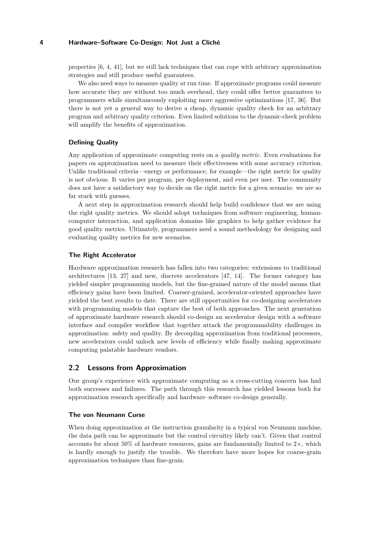properties [\[6,](#page-9-6) [4,](#page-9-9) [41\]](#page-11-1), but we still lack techniques that can cope with arbitrary approximation strategies and still produce useful guarantees.

We also need ways to measure quality at run time. If approximate programs could measure how accurate they are without too much overhead, they could offer better guarantees to programmers while simultaneously exploiting more aggressive optimizations [\[17,](#page-9-7) [36\]](#page-10-6). But there is not yet a general way to derive a cheap, dynamic quality check for an arbitrary program and arbitrary quality criterion. Even limited solutions to the dynamic-check problem will amplify the benefits of approximation.

# **Defining Quality**

Any application of approximate computing rests on a *quality metric*. Even evaluations for papers on approximation need to measure their effectiveness with some accuracy criterion. Unlike traditional criteria—energy or performance, for example—the right metric for quality is not obvious. It varies per program, per deployment, and even per user. The community does not have a satisfactory way to decide on the right metric for a given scenario: we are so far stuck with guesses.

A next step in approximation research should help build confidence that we are using the right quality metrics. We should adopt techniques from software engineering, humancomputer interaction, and application domains like graphics to help gather evidence for good quality metrics. Ultimately, programmers need a sound methodology for designing and evaluating quality metrics for new scenarios.

### **The Right Accelerator**

Hardware approximation research has fallen into two categories: extensions to traditional architectures [\[13,](#page-9-4) [27\]](#page-10-9) and new, discrete accelerators [\[47,](#page-11-3) [14\]](#page-9-8). The former category has yielded simpler programming models, but the fine-grained nature of the model means that efficiency gains have been limited. Coarser-grained, accelerator-oriented approaches have yielded the best results to date. There are still opportunities for co-designing accelerators with programming models that capture the best of both approaches. The next generation of approximate hardware research should co-design an accelerator design with a software interface and compiler workflow that together attack the programmability challenges in approximation: safety and quality. By decoupling approximation from traditional processors, new accelerators could unlock new levels of efficiency while finally making approximate computing palatable hardware vendors.

# **2.2 Lessons from Approximation**

Our group's experience with approximate computing as a cross-cutting concern has had both successes and failures. The path through this research has yielded lessons both for approximation research specifically and hardware–software co-design generally.

#### **The von Neumann Curse**

When doing approximation at the instruction granularity in a typical von Neumann machine, the data path can be approximate but the control circuitry likely can't. Given that control accounts for about 50% of hardware resources, gains are fundamentally limited to  $2\times$ , which is hardly enough to justify the trouble. We therefore have more hopes for coarse-grain approximation techniques than fine-grain.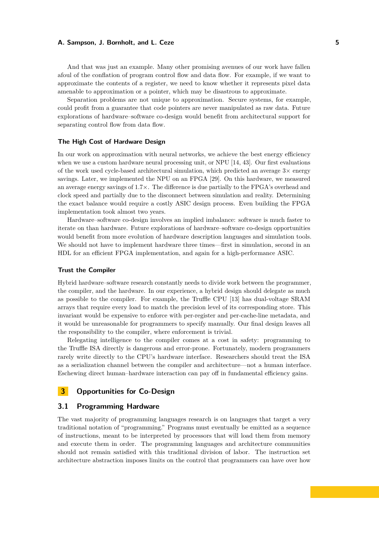And that was just an example. Many other promising avenues of our work have fallen afoul of the conflation of program control flow and data flow. For example, if we want to approximate the contents of a register, we need to know whether it represents pixel data amenable to approximation or a pointer, which may be disastrous to approximate.

Separation problems are not unique to approximation. Secure systems, for example, could profit from a guarantee that code pointers are never manipulated as raw data. Future explorations of hardware–software co-design would benefit from architectural support for separating control flow from data flow.

### **The High Cost of Hardware Design**

In our work on approximation with neural networks, we achieve the best energy efficiency when we use a custom hardware neural processing unit, or NPU [\[14,](#page-9-8) [43\]](#page-11-2). Our first evaluations of the work used cycle-based architectural simulation, which predicted an average  $3\times$  energy savings. Later, we implemented the NPU on an FPGA [\[29\]](#page-10-7). On this hardware, we measured an average energy savings of 1*.*7×. The difference is due partially to the FPGA's overhead and clock speed and partially due to the disconnect between simulation and reality. Determining the exact balance would require a costly ASIC design process. Even building the FPGA implementation took almost two years.

Hardware–software co-design involves an implied imbalance: software is much faster to iterate on than hardware. Future explorations of hardware–software co-design opportunities would benefit from more evolution of hardware description languages and simulation tools. We should not have to implement hardware three times—first in simulation, second in an HDL for an efficient FPGA implementation, and again for a high-performance ASIC.

### **Trust the Compiler**

Hybrid hardware–software research constantly needs to divide work between the programmer, the compiler, and the hardware. In our experience, a hybrid design should delegate as much as possible to the compiler. For example, the Truffle CPU [\[13\]](#page-9-4) has dual-voltage SRAM arrays that require every load to match the precision level of its corresponding store. This invariant would be expensive to enforce with per-register and per-cache-line metadata, and it would be unreasonable for programmers to specify manually. Our final design leaves all the responsibility to the compiler, where enforcement is trivial.

Relegating intelligence to the compiler comes at a cost in safety: programming to the Truffle ISA directly is dangerous and error-prone. Fortunately, modern programmers rarely write directly to the CPU's hardware interface. Researchers should treat the ISA as a serialization channel between the compiler and architecture—not a human interface. Eschewing direct human–hardware interaction can pay off in fundamental efficiency gains.

# **3 Opportunities for Co-Design**

# **3.1 Programming Hardware**

The vast majority of programming languages research is on languages that target a very traditional notation of "programming." Programs must eventually be emitted as a sequence of instructions, meant to be interpreted by processors that will load them from memory and execute them in order. The programming languages and architecture communities should not remain satisfied with this traditional division of labor. The instruction set architecture abstraction imposes limits on the control that programmers can have over how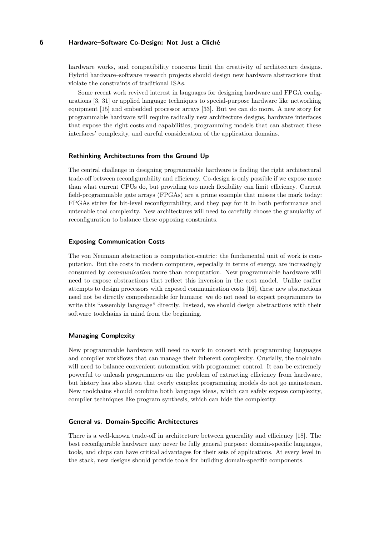hardware works, and compatibility concerns limit the creativity of architecture designs. Hybrid hardware–software research projects should design new hardware abstractions that violate the constraints of traditional ISAs.

Some recent work revived interest in languages for designing hardware and FPGA configurations [\[3,](#page-8-1) [31\]](#page-10-10) or applied language techniques to special-purpose hardware like networking equipment [\[15\]](#page-9-10) and embedded processor arrays [\[33\]](#page-10-11). But we can do more. A new story for programmable hardware will require radically new architecture designs, hardware interfaces that expose the right costs and capabilities, programming models that can abstract these interfaces' complexity, and careful consideration of the application domains.

### **Rethinking Architectures from the Ground Up**

The central challenge in designing programmable hardware is finding the right architectural trade-off between reconfigurability and efficiency. Co-design is only possible if we expose more than what current CPUs do, but providing too much flexibility can limit efficiency. Current field-programmable gate arrays (FPGAs) are a prime example that misses the mark today: FPGAs strive for bit-level reconfigurability, and they pay for it in both performance and untenable tool complexity. New architectures will need to carefully choose the granularity of reconfiguration to balance these opposing constraints.

### **Exposing Communication Costs**

The von Neumann abstraction is computation-centric: the fundamental unit of work is computation. But the costs in modern computers, especially in terms of energy, are increasingly consumed by *communication* more than computation. New programmable hardware will need to expose abstractions that reflect this inversion in the cost model. Unlike earlier attempts to design processors with exposed communication costs [\[16\]](#page-9-11), these new abstractions need not be directly comprehensible for humans: we do not need to expect programmers to write this "assembly language" directly. Instead, we should design abstractions with their software toolchains in mind from the beginning.

# **Managing Complexity**

New programmable hardware will need to work in concert with programming languages and compiler workflows that can manage their inherent complexity. Crucially, the toolchain will need to balance convenient automation with programmer control. It can be extremely powerful to unleash programmers on the problem of extracting efficiency from hardware, but history has also shown that overly complex programming models do not go mainstream. New toolchains should combine both language ideas, which can safely expose complexity, compiler techniques like program synthesis, which can hide the complexity.

### **General vs. Domain-Specific Architectures**

There is a well-known trade-off in architecture between generality and efficiency [\[18\]](#page-9-12). The best reconfigurable hardware may never be fully general purpose: domain-specific languages, tools, and chips can have critical advantages for their sets of applications. At every level in the stack, new designs should provide tools for building domain-specific components.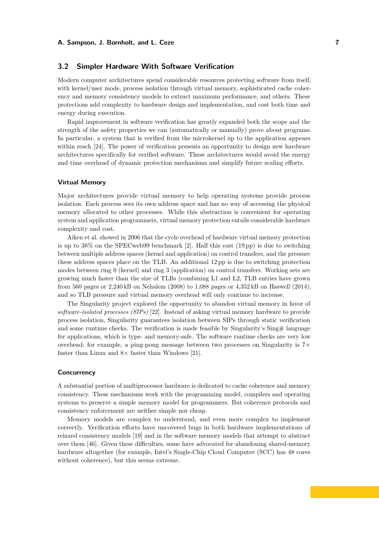# **3.2 Simpler Hardware With Software Verification**

Modern computer architectures spend considerable resources protecting software from itself, with kernel/user mode, process isolation through virtual memory, sophisticated cache coherency and memory consistency models to extract maximum performance, and others. These protections add complexity to hardware design and implementation, and cost both time and energy during execution.

Rapid improvement in software verification has greatly expanded both the scope and the strength of the safety properties we can (automatically or manually) prove about programs. In particular, a system that is verified from the microkernel up to the application appears within reach [\[24\]](#page-10-12). The power of verification presents an opportunity to design new hardware architectures specifically for verified software. These architectures would avoid the energy and time overhead of dynamic protection mechanisms and simplify future scaling efforts.

#### **Virtual Memory**

Major architectures provide virtual memory to help operating systems provide process isolation. Each process sees its own address space and has no way of accessing the physical memory allocated to other processes. While this abstraction is convenient for operating system and application programmers, virtual memory protection entails considerable hardware complexity and cost.

Aiken et al. showed in 2006 that the cycle overhead of hardware virtual memory protection is up to 38% on the SPECweb99 benchmark [\[2\]](#page-8-2). Half this cost (19 pp) is due to switching between multiple address spaces (kernel and application) on control transfers, and the pressure these address spaces place on the TLB. An additional 12 pp is due to switching protection modes between ring 0 (kernel) and ring 3 (application) on control transfers. Working sets are growing much faster than the size of TLBs (combining L1 and L2, TLB entries have grown from 560 pages or 2,240 kB on Nehalem (2008) to 1,088 pages or 4,352 kB on Haswell (2014), and so TLB pressure and virtual memory overhead will only continue to increase.

The Singularity project explored the opportunity to abandon virtual memory in favor of *software-isolated processes (SIPs)* [\[22\]](#page-10-13). Instead of asking virtual memory hardware to provide process isolation, Singularity guarantees isolation between SIPs through static verification and some runtime checks. The verification is made feasible by Singularity's Sing# language for applications, which is type- and memory-safe. The software runtime checks are very low overhead; for example, a ping-pong message between two processes on Singularity is  $7\times$ faster than Linux and  $8\times$  faster than Windows [\[21\]](#page-10-14).

#### **Concurrency**

A substantial portion of multiprocessor hardware is dedicated to cache coherence and memory consistency. These mechanisms work with the programming model, compilers and operating systems to preserve a simple memory model for programmers. But coherence protocols and consistency enforcement are neither simple nor cheap.

Memory models are complex to understand, and even more complex to implement correctly. Verification efforts have uncovered bugs in both hardware implementations of relaxed consistency models [\[19\]](#page-9-13) and in the software memory models that attempt to abstract over them [\[46\]](#page-11-4). Given these difficulties, some have advocated for abandoning shared-memory hardware altogether (for example, Intel's Single-Chip Cloud Computer (SCC) has 48 cores without coherence), but this seems extreme.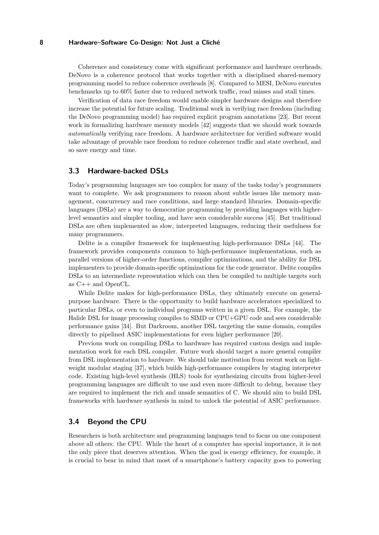Coherence and consistency come with significant performance and hardware overheads. DeNovo is a coherence protocol that works together with a disciplined shared-memory programming model to reduce coherence overheads [\[8\]](#page-9-14). Compared to MESI, DeNovo executes benchmarks up to 60% faster due to reduced network traffic, read misses and stall times.

Verification of data race freedom would enable simpler hardware designs and therefore increase the potential for future scaling. Traditional work in verifying race freedom (including the DeNovo programming model) has required explicit program annotations [\[23\]](#page-10-15). But recent work in formalizing hardware memory models [\[42\]](#page-11-5) suggests that we should work towards *automatically* verifying race freedom. A hardware architecture for verified software would take advantage of provable race freedom to reduce coherence traffic and state overhead, and so save energy and time.

# **3.3 Hardware-backed DSLs**

Today's programming languages are too complex for many of the tasks today's programmers want to complete. We ask programmers to reason about subtle issues like memory management, concurrency and race conditions, and large standard libraries. Domain-specific languages (DSLs) are a way to democratize programming by providing languages with higherlevel semantics and simpler tooling, and have seen considerable success [\[45\]](#page-11-6). But traditional DSLs are often implemented as slow, interpreted languages, reducing their usefulness for many programmers.

Delite is a compiler framework for implementing high-performance DSLs [\[44\]](#page-11-7). The framework provides components common to high-performance implementations, such as parallel versions of higher-order functions, compiler optimizations, and the ability for DSL implementers to provide domain-specific optimizations for the code generator. Delite compiles DSLs to an intermediate representation which can then be compiled to multiple targets such as C++ and OpenCL.

While Delite makes for high-performance DSLs, they ultimately execute on generalpurpose hardware. There is the opportunity to build hardware accelerators specialized to particular DSLs, or even to individual programs written in a given DSL. For example, the Halide DSL for image processing compiles to SIMD or CPU+GPU code and sees considerable performance gains [\[34\]](#page-10-16). But Darkroom, another DSL targeting the same domain, compiles directly to pipelined ASIC implementations for even higher performance [\[20\]](#page-9-15).

Previous work on compiling DSLs to hardware has required custom design and implementation work for each DSL compiler. Future work should target a more general compiler from DSL implementation to hardware. We should take motivation from recent work on lightweight modular staging [\[37\]](#page-10-17), which builds high-performance compilers by staging interpreter code. Existing high-level synthesis (HLS) tools for synthesizing circuits from higher-level programming languages are difficult to use and even more difficult to debug, because they are required to implement the rich and unsafe semantics of C. We should aim to build DSL frameworks with hardware synthesis in mind to unlock the potential of ASIC performance.

# **3.4 Beyond the CPU**

Researchers is both architecture and programming languages tend to focus on one component above all others: the CPU. While the heart of a computer has special importance, it is not the only piece that deserves attention. When the goal is energy efficiency, for example, it is crucial to bear in mind that most of a smartphone's battery capacity goes to powering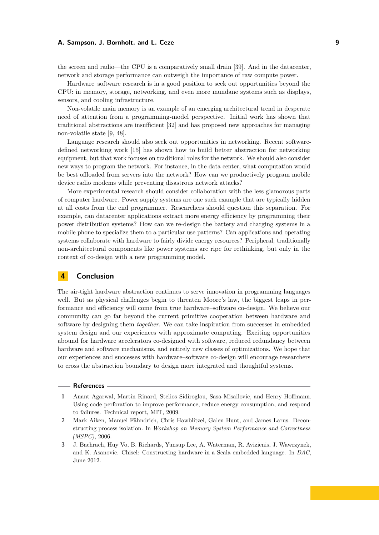the screen and radio—the CPU is a comparatively small drain [\[39\]](#page-10-18). And in the datacenter, network and storage performance can outweigh the importance of raw compute power.

Hardware–software research is in a good position to seek out opportunities beyond the CPU: in memory, storage, networking, and even more mundane systems such as displays, sensors, and cooling infrastructure.

Non-volatile main memory is an example of an emerging architectural trend in desperate need of attention from a programming-model perspective. Initial work has shown that traditional abstractions are insufficient [\[32\]](#page-10-19) and has proposed new approaches for managing non-volatile state [\[9,](#page-9-16) [48\]](#page-11-8).

Language research should also seek out opportunities in networking. Recent softwaredefined networking work [\[15\]](#page-9-10) has shown how to build better abstraction for networking equipment, but that work focuses on traditional roles for the network. We should also consider new ways to program the network. For instance, in the data center, what computation would be best offloaded from servers into the network? How can we productively program mobile device radio modems while preventing disastrous network attacks?

More experimental research should consider collaboration with the less glamorous parts of computer hardware. Power supply systems are one such example that are typically hidden at all costs from the end programmer. Researchers should question this separation. For example, can datacenter applications extract more energy efficiency by programming their power distribution systems? How can we re-design the battery and charging systems in a mobile phone to specialize them to a particular use patterns? Can applications and operating systems collaborate with hardware to fairly divide energy resources? Peripheral, traditionally non-architectural components like power systems are ripe for rethinking, but only in the context of co-design with a new programming model.

# **4 Conclusion**

The air-tight hardware abstraction continues to serve innovation in programming languages well. But as physical challenges begin to threaten Moore's law, the biggest leaps in performance and efficiency will come from true hardware–software co-design. We believe our community can go far beyond the current primitive cooperation between hardware and software by designing them *together*. We can take inspiration from successes in embedded system design and our experiences with approximate computing. Exciting opportunities abound for hardware accelerators co-designed with software, reduced redundancy between hardware and software mechanisms, and entirely new classes of optimizations. We hope that our experiences and successes with hardware–software co-design will encourage researchers to cross the abstraction boundary to design more integrated and thoughtful systems.

#### **References**

- <span id="page-8-0"></span>**1** Anant Agarwal, Martin Rinard, Stelios Sidiroglou, Sasa Misailovic, and Henry Hoffmann. Using code perforation to improve performance, reduce energy consumption, and respond to failures. Technical report, MIT, 2009.
- <span id="page-8-2"></span>**2** Mark Aiken, Manuel Fähndrich, Chris Hawblitzel, Galen Hunt, and James Larus. Deconstructing process isolation. In *Workshop on Memory System Performance and Correctness (MSPC)*, 2006.
- <span id="page-8-1"></span>**3** J. Bachrach, Huy Vo, B. Richards, Yunsup Lee, A. Waterman, R. Avizienis, J. Wawrzynek, and K. Asanovic. Chisel: Constructing hardware in a Scala embedded language. In *DAC*, June 2012.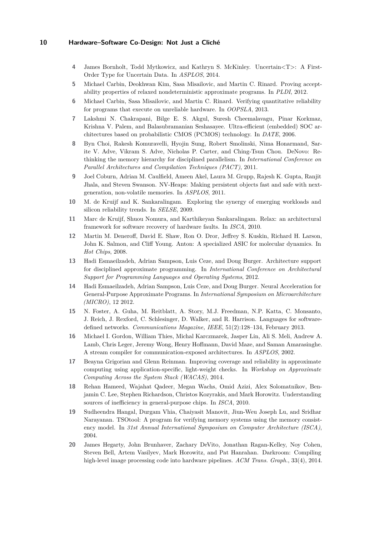- <span id="page-9-9"></span>**4** James Bornholt, Todd Mytkowicz, and Kathryn S. McKinley. Uncertain*<*T*>*: A First-Order Type for Uncertain Data. In *ASPLOS*, 2014.
- <span id="page-9-5"></span>**5** Michael Carbin, Deokhwan Kim, Sasa Misailovic, and Martin C. Rinard. Proving acceptability properties of relaxed nondeterministic approximate programs. In *PLDI*, 2012.
- <span id="page-9-6"></span>**6** Michael Carbin, Sasa Misailovic, and Martin C. Rinard. Verifying quantitative reliability for programs that execute on unreliable hardware. In *OOPSLA*, 2013.
- <span id="page-9-1"></span>**7** Lakshmi N. Chakrapani, Bilge E. S. Akgul, Suresh Cheemalavagu, Pinar Korkmaz, Krishna V. Palem, and Balasubramanian Seshasayee. Ultra-efficient (embedded) SOC architectures based on probabilistic CMOS (PCMOS) technology. In *DATE*, 2006.
- <span id="page-9-14"></span>**8** Byn Choi, Rakesh Komuravelli, Hyojin Sung, Robert Smolinski, Nima Honarmand, Sarite V. Adve, Vikram S. Adve, Nicholas P. Carter, and Ching-Tsun Chou. DeNovo: Rethinking the memory hierarchy for disciplined parallelism. In *International Conference on Parallel Architectures and Compilation Techniques (PACT)*, 2011.
- <span id="page-9-16"></span>**9** Joel Coburn, Adrian M. Caulfield, Ameen Akel, Laura M. Grupp, Rajesh K. Gupta, Ranjit Jhala, and Steven Swanson. NV-Heaps: Making persistent objects fast and safe with nextgeneration, non-volatile memories. In *ASPLOS*, 2011.
- <span id="page-9-2"></span>**10** M. de Kruijf and K. Sankaralingam. Exploring the synergy of emerging workloads and silicon reliability trends. In *SELSE*, 2009.
- <span id="page-9-3"></span>**11** Marc de Kruijf, Shuou Nomura, and Karthikeyan Sankaralingam. Relax: an architectural framework for software recovery of hardware faults. In *ISCA*, 2010.
- <span id="page-9-0"></span>**12** Martin M. Deneroff, David E. Shaw, Ron O. Dror, Jeffrey S. Kuskin, Richard H. Larson, John K. Salmon, and Cliff Young. Anton: A specialized ASIC for molecular dynamics. In *Hot Chips*, 2008.
- <span id="page-9-4"></span>**13** Hadi Esmaeilzadeh, Adrian Sampson, Luis Ceze, and Doug Burger. Architecture support for disciplined approximate programming. In *International Conference on Architectural Support for Programming Languages and Operating Systems*, 2012.
- <span id="page-9-8"></span>**14** Hadi Esmaeilzadeh, Adrian Sampson, Luis Ceze, and Doug Burger. Neural Acceleration for General-Purpose Approximate Programs. In *International Symposium on Microarchitecture (MICRO)*, 12 2012.
- <span id="page-9-10"></span>**15** N. Foster, A. Guha, M. Reitblatt, A. Story, M.J. Freedman, N.P. Katta, C. Monsanto, J. Reich, J. Rexford, C. Schlesinger, D. Walker, and R. Harrison. Languages for softwaredefined networks. *Communications Magazine, IEEE*, 51(2):128–134, February 2013.
- <span id="page-9-11"></span>**16** Michael I. Gordon, William Thies, Michal Karczmarek, Jasper Lin, Ali S. Meli, Andrew A. Lamb, Chris Leger, Jeremy Wong, Henry Hoffmann, David Maze, and Saman Amarasinghe. A stream compiler for communication-exposed architectures. In *ASPLOS*, 2002.
- <span id="page-9-7"></span>**17** Beayna Grigorian and Glenn Reinman. Improving coverage and reliability in approximate computing using application-specific, light-weight checks. In *Workshop on Approximate Computing Across the System Stack (WACAS)*, 2014.
- <span id="page-9-12"></span>**18** Rehan Hameed, Wajahat Qadeer, Megan Wachs, Omid Azizi, Alex Solomatnikov, Benjamin C. Lee, Stephen Richardson, Christos Kozyrakis, and Mark Horowitz. Understanding sources of inefficiency in general-purpose chips. In *ISCA*, 2010.
- <span id="page-9-13"></span>**19** Sudheendra Hangal, Durgam Vhia, Chaiyasit Manovit, Jiun-Weu Joseph Lu, and Sridhar Narayanan. TSOtool: A program for verifying memory systems using the memory consistency model. In *31st Annual International Symposium on Computer Architecture (ISCA)*, 2004.
- <span id="page-9-15"></span>**20** James Hegarty, John Brunhaver, Zachary DeVito, Jonathan Ragan-Kelley, Noy Cohen, Steven Bell, Artem Vasilyev, Mark Horowitz, and Pat Hanrahan. Darkroom: Compiling high-level image processing code into hardware pipelines. *ACM Trans. Graph.*, 33(4), 2014.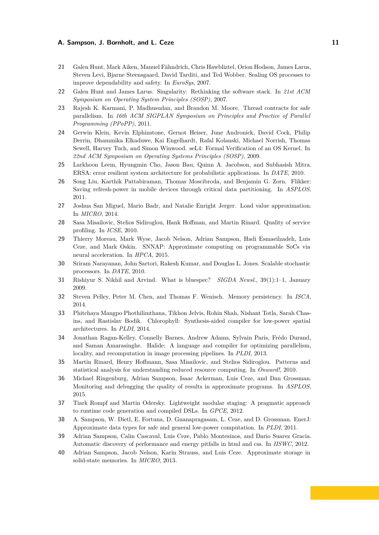- <span id="page-10-14"></span>**21** Galen Hunt, Mark Aiken, Manuel Fähndrich, Chris Hawbliztel, Orion Hodson, James Larus, Steven Levi, Bjarne Steensgaard, David Tarditi, and Ted Wobber. Sealing OS processes to improve dependability and safety. In *EuroSys*, 2007.
- <span id="page-10-13"></span>**22** Galen Hunt and James Larus. Singularity: Rethinking the software stack. In *21st ACM Symposium on Operating System Principles (SOSP)*, 2007.
- <span id="page-10-15"></span>**23** Rajesh K. Karmani, P. Madhusudan, and Brandon M. Moore. Thread contracts for safe parallelism. In *16th ACM SIGPLAN Symposium on Principles and Practice of Parallel Programming (PPoPP)*, 2011.
- <span id="page-10-12"></span>**24** Gerwin Klein, Kevin Elphinstone, Gernot Heiser, June Andronick, David Cock, Philip Derrin, Dhammika Elkaduwe, Kai Engelhardt, Rafal Kolanski, Michael Norrish, Thomas Sewell, Harvey Tuch, and Simon Winwood. seL4: Formal Verification of an OS Kernel. In *22nd ACM Symposium on Operating Systems Principles (SOSP)*, 2009.
- <span id="page-10-0"></span>**25** Larkhoon Leem, Hyungmin Cho, Jason Bau, Quinn A. Jacobson, and Subhasish Mitra. ERSA: error resilient system architecture for probabilistic applications. In *DATE*, 2010.
- <span id="page-10-1"></span>**26** Song Liu, Karthik Pattabiraman, Thomas Moscibroda, and Benjamin G. Zorn. Flikker: Saving refresh-power in mobile devices through critical data partitioning. In *ASPLOS*, 2011.
- <span id="page-10-9"></span>**27** Joshua San Miguel, Mario Badr, and Natalie Enright Jerger. Load value approximation. In *MICRO*, 2014.
- <span id="page-10-2"></span>**28** Sasa Misailovic, Stelios Sidiroglou, Hank Hoffman, and Martin Rinard. Quality of service profiling. In *ICSE*, 2010.
- <span id="page-10-7"></span>**29** Thierry Moreau, Mark Wyse, Jacob Nelson, Adrian Sampson, Hadi Esmaeilzadeh, Luis Ceze, and Mark Oskin. SNNAP: Approximate computing on programmable SoCs via neural acceleration. In *HPCA*, 2015.
- <span id="page-10-3"></span>**30** Sriram Narayanan, John Sartori, Rakesh Kumar, and Douglas L. Jones. Scalable stochastic processors. In *DATE*, 2010.
- <span id="page-10-10"></span>**31** Rishiyur S. Nikhil and Arvind. What is bluespec? *SIGDA Newsl.*, 39(1):1–1, January 2009.
- <span id="page-10-19"></span>**32** Steven Pelley, Peter M. Chen, and Thomas F. Wenisch. Memory persistency. In *ISCA*, 2014.
- <span id="page-10-11"></span>**33** Phitchaya Mangpo Phothilimthana, Tikhon Jelvis, Rohin Shah, Nishant Totla, Sarah Chasins, and Rastislav Bodik. Chlorophyll: Synthesis-aided compiler for low-power spatial architectures. In *PLDI*, 2014.
- <span id="page-10-16"></span>**34** Jonathan Ragan-Kelley, Connelly Barnes, Andrew Adams, Sylvain Paris, Frédo Durand, and Saman Amarasinghe. Halide: A language and compiler for optimizing parallelism, locality, and recomputation in image processing pipelines. In *PLDI*, 2013.
- <span id="page-10-4"></span>**35** Martin Rinard, Henry Hoffmann, Sasa Misailovic, and Stelios Sidiroglou. Patterns and statistical analysis for understanding reduced resource computing. In *Onward!*, 2010.
- <span id="page-10-6"></span>**36** Michael Ringenburg, Adrian Sampson, Isaac Ackerman, Luis Ceze, and Dan Grossman. Monitoring and debugging the quality of results in approximate programs. In *ASPLOS*, 2015.
- <span id="page-10-17"></span>**37** Tiark Rompf and Martin Odersky. Lightweight modular staging: A pragmatic approach to runtime code generation and compiled DSLs. In *GPCE*, 2012.
- <span id="page-10-5"></span>**38** A. Sampson, W. Dietl, E. Fortuna, D. Gnanapragasam, L. Ceze, and D. Grossman. EnerJ: Approximate data types for safe and general low-power computation. In *PLDI*, 2011.
- <span id="page-10-18"></span>**39** Adrian Sampson, Calin Cascaval, Luis Ceze, Pablo Montesinos, and Dario Suarez Gracia. Automatic discovery of performance and energy pitfalls in html and css. In *IISWC*, 2012.
- <span id="page-10-8"></span>**40** Adrian Sampson, Jacob Nelson, Karin Strauss, and Luis Ceze. Approximate storage in solid-state memories. In *MICRO*, 2013.